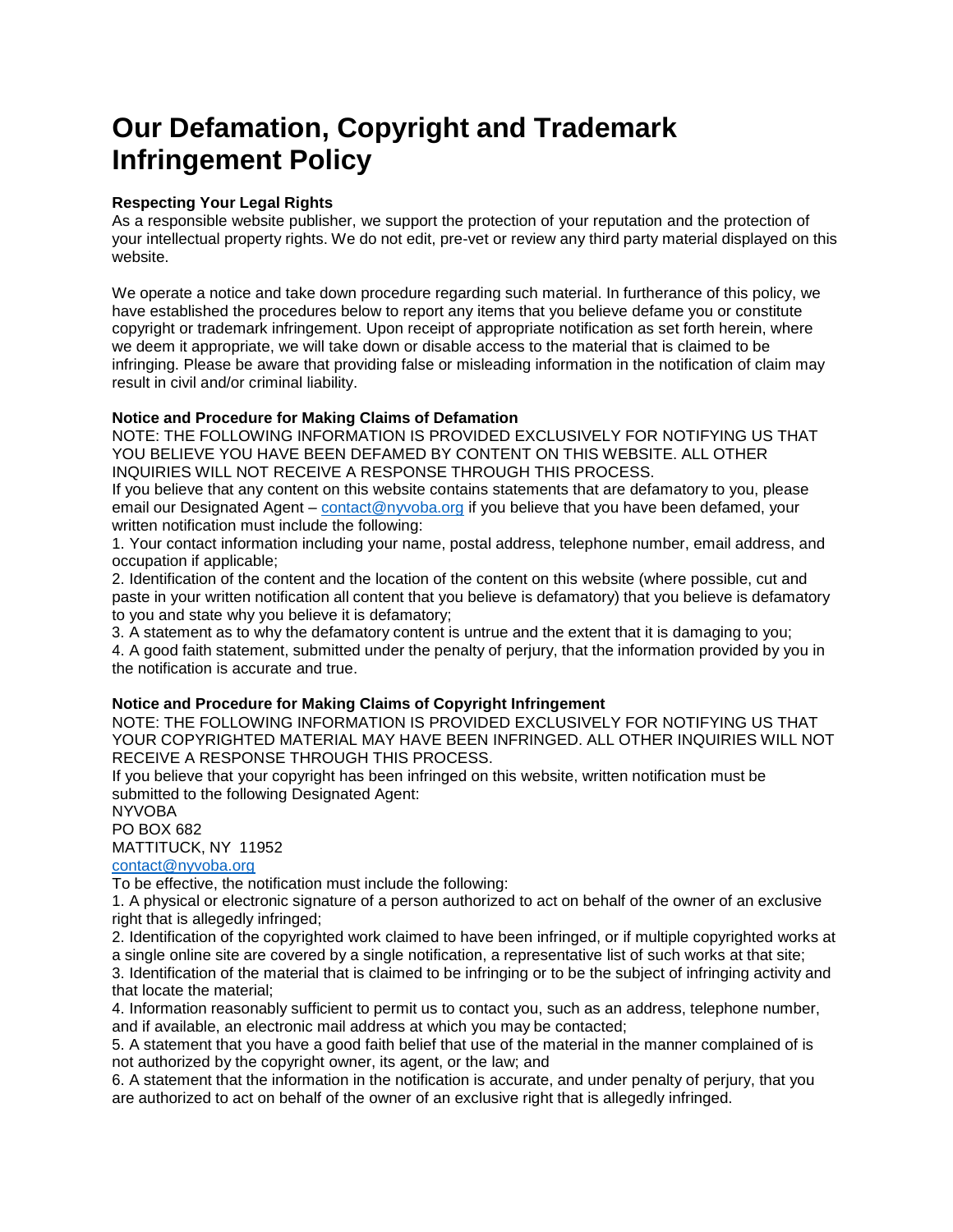# **Our Defamation, Copyright and Trademark Infringement Policy**

#### **Respecting Your Legal Rights**

As a responsible website publisher, we support the protection of your reputation and the protection of your intellectual property rights. We do not edit, pre-vet or review any third party material displayed on this website.

We operate a notice and take down procedure regarding such material. In furtherance of this policy, we have established the procedures below to report any items that you believe defame you or constitute copyright or trademark infringement. Upon receipt of appropriate notification as set forth herein, where we deem it appropriate, we will take down or disable access to the material that is claimed to be infringing. Please be aware that providing false or misleading information in the notification of claim may result in civil and/or criminal liability.

### **Notice and Procedure for Making Claims of Defamation**

NOTE: THE FOLLOWING INFORMATION IS PROVIDED EXCLUSIVELY FOR NOTIFYING US THAT YOU BELIEVE YOU HAVE BEEN DEFAMED BY CONTENT ON THIS WEBSITE. ALL OTHER INQUIRIES WILL NOT RECEIVE A RESPONSE THROUGH THIS PROCESS.

If you believe that any content on this website contains statements that are defamatory to you, please email our Designated Agent – [contact@nyvoba.org](mailto:contact@nyvoba.org) if you believe that you have been defamed, your written notification must include the following:

1. Your contact information including your name, postal address, telephone number, email address, and occupation if applicable;

2. Identification of the content and the location of the content on this website (where possible, cut and paste in your written notification all content that you believe is defamatory) that you believe is defamatory to you and state why you believe it is defamatory;

3. A statement as to why the defamatory content is untrue and the extent that it is damaging to you;

4. A good faith statement, submitted under the penalty of perjury, that the information provided by you in the notification is accurate and true.

### **Notice and Procedure for Making Claims of Copyright Infringement**

NOTE: THE FOLLOWING INFORMATION IS PROVIDED EXCLUSIVELY FOR NOTIFYING US THAT YOUR COPYRIGHTED MATERIAL MAY HAVE BEEN INFRINGED. ALL OTHER INQUIRIES WILL NOT RECEIVE A RESPONSE THROUGH THIS PROCESS.

If you believe that your copyright has been infringed on this website, written notification must be submitted to the following Designated Agent:

NYVOBA

PO BOX 682

MATTITUCK, NY 11952

## [contact@nyvoba.org](mailto:contact@nyvoba.org)

To be effective, the notification must include the following:

1. A physical or electronic signature of a person authorized to act on behalf of the owner of an exclusive right that is allegedly infringed;

2. Identification of the copyrighted work claimed to have been infringed, or if multiple copyrighted works at a single online site are covered by a single notification, a representative list of such works at that site;

3. Identification of the material that is claimed to be infringing or to be the subject of infringing activity and that locate the material;

4. Information reasonably sufficient to permit us to contact you, such as an address, telephone number, and if available, an electronic mail address at which you may be contacted;

5. A statement that you have a good faith belief that use of the material in the manner complained of is not authorized by the copyright owner, its agent, or the law; and

6. A statement that the information in the notification is accurate, and under penalty of perjury, that you are authorized to act on behalf of the owner of an exclusive right that is allegedly infringed.